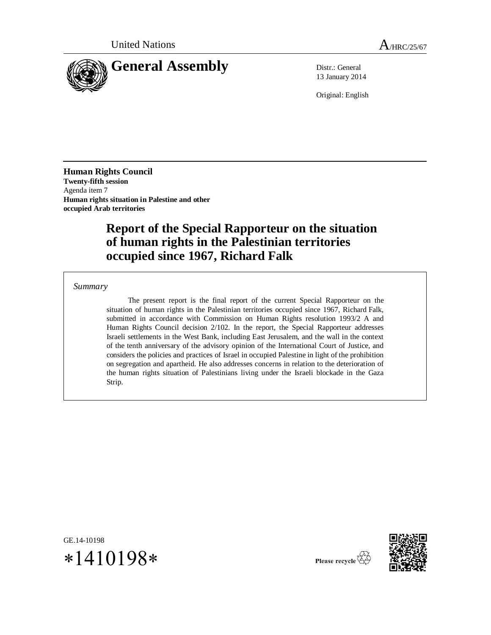

13 January 2014

Original: English

**Human Rights Council Twenty-fifth session** Agenda item 7 **Human rights situation in Palestine and other occupied Arab territories**

# **Report of the Special Rapporteur on the situation of human rights in the Palestinian territories occupied since 1967, Richard Falk**

#### *Summary*

The present report is the final report of the current Special Rapporteur on the situation of human rights in the Palestinian territories occupied since 1967, Richard Falk, submitted in accordance with Commission on Human Rights resolution 1993/2 A and Human Rights Council decision 2/102. In the report, the Special Rapporteur addresses Israeli settlements in the West Bank, including East Jerusalem, and the wall in the context of the tenth anniversary of the advisory opinion of the International Court of Justice, and considers the policies and practices of Israel in occupied Palestine in light of the prohibition on segregation and apartheid. He also addresses concerns in relation to the deterioration of the human rights situation of Palestinians living under the Israeli blockade in the Gaza Strip.

GE.14-10198  $*1410198*$ 



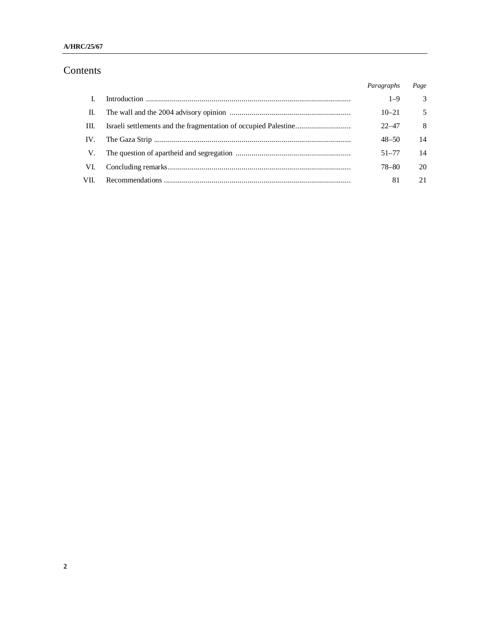### **A/HRC/25/67**

# Contents

|      | Paragraphs | Page |
|------|------------|------|
|      | $1 - 9$    | 3    |
| H.   | $10 - 21$  | 5    |
| HI.  | $22 - 47$  | 8    |
| IV.  | $48 - 50$  | 14   |
| V.   | $51 - 77$  | 14   |
| VI.  | 78–80      | 20   |
| VII. | 81         | 21   |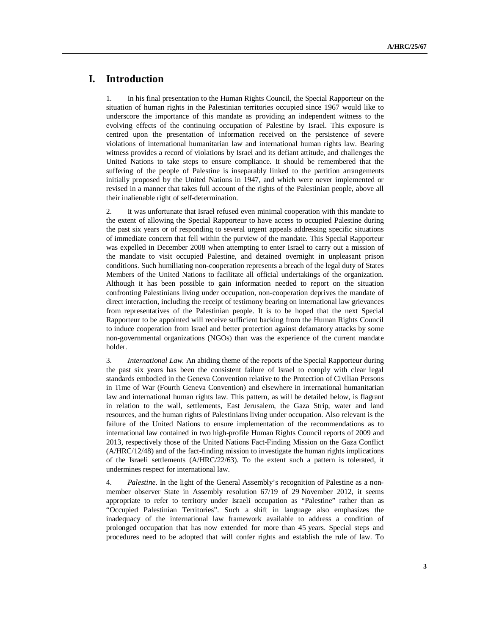# **I. Introduction**

1. In his final presentation to the Human Rights Council, the Special Rapporteur on the situation of human rights in the Palestinian territories occupied since 1967 would like to underscore the importance of this mandate as providing an independent witness to the evolving effects of the continuing occupation of Palestine by Israel. This exposure is centred upon the presentation of information received on the persistence of severe violations of international humanitarian law and international human rights law. Bearing witness provides a record of violations by Israel and its defiant attitude, and challenges the United Nations to take steps to ensure compliance. It should be remembered that the suffering of the people of Palestine is inseparably linked to the partition arrangements initially proposed by the United Nations in 1947, and which were never implemented or revised in a manner that takes full account of the rights of the Palestinian people, above all their inalienable right of self-determination.

2. It was unfortunate that Israel refused even minimal cooperation with this mandate to the extent of allowing the Special Rapporteur to have access to occupied Palestine during the past six years or of responding to several urgent appeals addressing specific situations of immediate concern that fell within the purview of the mandate. This Special Rapporteur was expelled in December 2008 when attempting to enter Israel to carry out a mission of the mandate to visit occupied Palestine, and detained overnight in unpleasant prison conditions. Such humiliating non-cooperation represents a breach of the legal duty of States Members of the United Nations to facilitate all official undertakings of the organization. Although it has been possible to gain information needed to report on the situation confronting Palestinians living under occupation, non-cooperation deprives the mandate of direct interaction, including the receipt of testimony bearing on international law grievances from representatives of the Palestinian people. It is to be hoped that the next Special Rapporteur to be appointed will receive sufficient backing from the Human Rights Council to induce cooperation from Israel and better protection against defamatory attacks by some non-governmental organizations (NGOs) than was the experience of the current mandate holder.

3. *International Law.* An abiding theme of the reports of the Special Rapporteur during the past six years has been the consistent failure of Israel to comply with clear legal standards embodied in the Geneva Convention relative to the Protection of Civilian Persons in Time of War (Fourth Geneva Convention) and elsewhere in international humanitarian law and international human rights law. This pattern, as will be detailed below, is flagrant in relation to the wall, settlements, East Jerusalem, the Gaza Strip, water and land resources, and the human rights of Palestinians living under occupation. Also relevant is the failure of the United Nations to ensure implementation of the recommendations as to international law contained in two high-profile Human Rights Council reports of 2009 and 2013, respectively those of the United Nations Fact-Finding Mission on the Gaza Conflict (A/HRC/12/48) and of the fact-finding mission to investigate the human rights implications of the Israeli settlements (A/HRC/22/63). To the extent such a pattern is tolerated, it undermines respect for international law.

4. *Palestine*. In the light of the General Assembly's recognition of Palestine as a nonmember observer State in Assembly resolution 67/19 of 29 November 2012, it seems appropriate to refer to territory under Israeli occupation as "Palestine" rather than as "Occupied Palestinian Territories". Such a shift in language also emphasizes the inadequacy of the international law framework available to address a condition of prolonged occupation that has now extended for more than 45 years. Special steps and procedures need to be adopted that will confer rights and establish the rule of law. To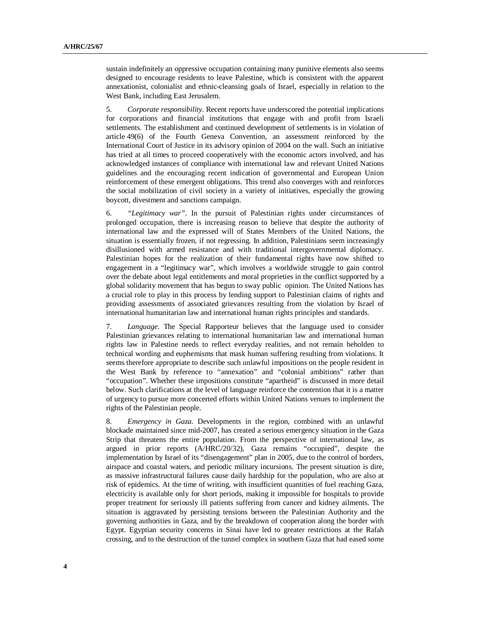sustain indefinitely an oppressive occupation containing many punitive elements also seems designed to encourage residents to leave Palestine, which is consistent with the apparent annexationist, colonialist and ethnic-cleansing goals of Israel, especially in relation to the West Bank, including East Jerusalem.

5. *Corporate responsibility*. Recent reports have underscored the potential implications for corporations and financial institutions that engage with and profit from Israeli settlements. The establishment and continued development of settlements is in violation of article 49(6) of the Fourth Geneva Convention, an assessment reinforced by the International Court of Justice in its advisory opinion of 2004 on the wall. Such an initiative has tried at all times to proceed cooperatively with the economic actors involved, and has acknowledged instances of compliance with international law and relevant United Nations guidelines and the encouraging recent indication of governmental and European Union reinforcement of these emergent obligations. This trend also converges with and reinforces the social mobilization of civil society in a variety of initiatives, especially the growing boycott, divestment and sanctions campaign.

6. *"Legitimacy war"*. In the pursuit of Palestinian rights under circumstances of prolonged occupation, there is increasing reason to believe that despite the authority of international law and the expressed will of States Members of the United Nations, the situation is essentially frozen, if not regressing. In addition, Palestinians seem increasingly disillusioned with armed resistance and with traditional intergovernmental diplomacy. Palestinian hopes for the realization of their fundamental rights have now shifted to engagement in a "legitimacy war", which involves a worldwide struggle to gain control over the debate about legal entitlements and moral proprieties in the conflict supported by a global solidarity movement that has begun to sway public opinion. The United Nations has a crucial role to play in this process by lending support to Palestinian claims of rights and providing assessments of associated grievances resulting from the violation by Israel of international humanitarian law and international human rights principles and standards.

7. *Language*. The Special Rapporteur believes that the language used to consider Palestinian grievances relating to international humanitarian law and international human rights law in Palestine needs to reflect everyday realities, and not remain beholden to technical wording and euphemisms that mask human suffering resulting from violations. It seems therefore appropriate to describe such unlawful impositions on the people resident in the West Bank by reference to "annexation" and "colonial ambitions" rather than "occupation". Whether these impositions constitute "apartheid" is discussed in more detail below. Such clarifications at the level of language reinforce the contention that it is a matter of urgency to pursue more concerted efforts within United Nations venues to implement the rights of the Palestinian people.

8. *Emergency in Gaza*. Developments in the region, combined with an unlawful blockade maintained since mid-2007, has created a serious emergency situation in the Gaza Strip that threatens the entire population. From the perspective of international law, as argued in prior reports (A/HRC/20/32), Gaza remains "occupied", despite the implementation by Israel of its "disengagement" plan in 2005, due to the control of borders, airspace and coastal waters, and periodic military incursions. The present situation is dire, as massive infrastructural failures cause daily hardship for the population, who are also at risk of epidemics. At the time of writing, with insufficient quantities of fuel reaching Gaza, electricity is available only for short periods, making it impossible for hospitals to provide proper treatment for seriously ill patients suffering from cancer and kidney ailments. The situation is aggravated by persisting tensions between the Palestinian Authority and the governing authorities in Gaza, and by the breakdown of cooperation along the border with Egypt. Egyptian security concerns in Sinai have led to greater restrictions at the Rafah crossing, and to the destruction of the tunnel complex in southern Gaza that had eased some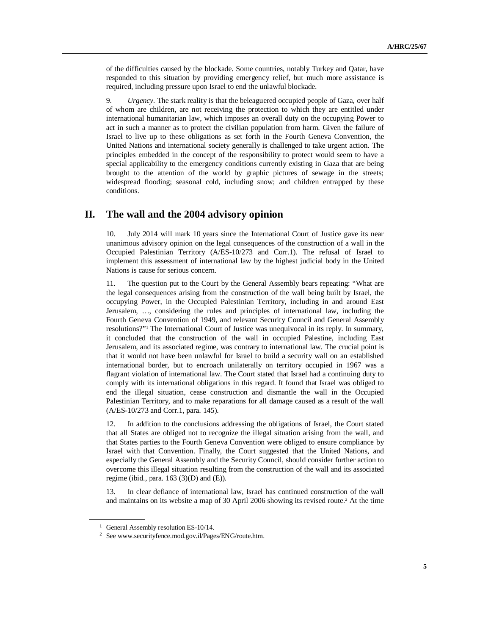of the difficulties caused by the blockade. Some countries, notably Turkey and Qatar, have responded to this situation by providing emergency relief, but much more assistance is required, including pressure upon Israel to end the unlawful blockade.

9. *Urgency*. The stark reality is that the beleaguered occupied people of Gaza, over half of whom are children, are not receiving the protection to which they are entitled under international humanitarian law, which imposes an overall duty on the occupying Power to act in such a manner as to protect the civilian population from harm. Given the failure of Israel to live up to these obligations as set forth in the Fourth Geneva Convention, the United Nations and international society generally is challenged to take urgent action. The principles embedded in the concept of the responsibility to protect would seem to have a special applicability to the emergency conditions currently existing in Gaza that are being brought to the attention of the world by graphic pictures of sewage in the streets; widespread flooding; seasonal cold, including snow; and children entrapped by these conditions.

### **II. The wall and the 2004 advisory opinion**

10. July 2014 will mark 10 years since the International Court of Justice gave its near unanimous advisory opinion on the legal consequences of the construction of a wall in the Occupied Palestinian Territory (A/ES-10/273 and Corr.1). The refusal of Israel to implement this assessment of international law by the highest judicial body in the United Nations is cause for serious concern.

11. The question put to the Court by the General Assembly bears repeating: "What are the legal consequences arising from the construction of the wall being built by Israel, the occupying Power, in the Occupied Palestinian Territory, including in and around East Jerusalem, …, considering the rules and principles of international law, including the Fourth Geneva Convention of 1949, and relevant Security Council and General Assembly resolutions?"<sup>1</sup> The International Court of Justice was unequivocal in its reply. In summary, it concluded that the construction of the wall in occupied Palestine, including East Jerusalem, and its associated regime, was contrary to international law. The crucial point is that it would not have been unlawful for Israel to build a security wall on an established international border, but to encroach unilaterally on territory occupied in 1967 was a flagrant violation of international law. The Court stated that Israel had a continuing duty to comply with its international obligations in this regard. It found that Israel was obliged to end the illegal situation, cease construction and dismantle the wall in the Occupied Palestinian Territory, and to make reparations for all damage caused as a result of the wall (A/ES-10/273 and Corr.1, para. 145).

12. In addition to the conclusions addressing the obligations of Israel, the Court stated that all States are obliged not to recognize the illegal situation arising from the wall, and that States parties to the Fourth Geneva Convention were obliged to ensure compliance by Israel with that Convention. Finally, the Court suggested that the United Nations, and especially the General Assembly and the Security Council, should consider further action to overcome this illegal situation resulting from the construction of the wall and its associated regime (ibid., para.  $163$  (3)(D) and (E)).

13. In clear defiance of international law, Israel has continued construction of the wall and maintains on its website a map of 30 April 2006 showing its revised route. <sup>2</sup> At the time

<sup>&</sup>lt;sup>1</sup> General Assembly resolution ES-10/14.

<sup>2</sup> See www.securityfence.mod.gov.il/Pages/ENG/route.htm.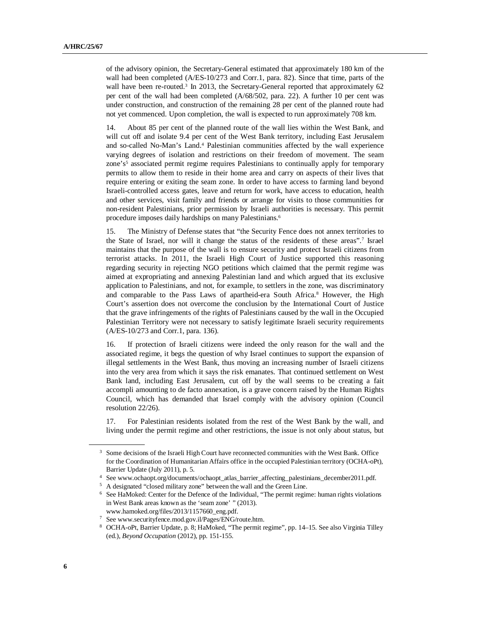of the advisory opinion, the Secretary-General estimated that approximately 180 km of the wall had been completed (A/ES-10/273 and Corr.1, para. 82). Since that time, parts of the wall have been re-routed.<sup>3</sup> In 2013, the Secretary-General reported that approximately 62 per cent of the wall had been completed (A/68/502, para. 22). A further 10 per cent was under construction, and construction of the remaining 28 per cent of the planned route had not yet commenced. Upon completion, the wall is expected to run approximately 708 km.

14. About 85 per cent of the planned route of the wall lies within the West Bank, and will cut off and isolate 9.4 per cent of the West Bank territory, including East Jerusalem and so-called No-Man's Land. <sup>4</sup> Palestinian communities affected by the wall experience varying degrees of isolation and restrictions on their freedom of movement. The seam zone's<sup>5</sup> associated permit regime requires Palestinians to continually apply for temporary permits to allow them to reside in their home area and carry on aspects of their lives that require entering or exiting the seam zone. In order to have access to farming land beyond Israeli-controlled access gates, leave and return for work, have access to education, health and other services, visit family and friends or arrange for visits to those communities for non-resident Palestinians, prior permission by Israeli authorities is necessary. This permit procedure imposes daily hardships on many Palestinians. 6

15. The Ministry of Defense states that "the Security Fence does not annex territories to the State of Israel, nor will it change the status of the residents of these areas". 7 Israel maintains that the purpose of the wall is to ensure security and protect Israeli citizens from terrorist attacks. In 2011, the Israeli High Court of Justice supported this reasoning regarding security in rejecting NGO petitions which claimed that the permit regime was aimed at expropriating and annexing Palestinian land and which argued that its exclusive application to Palestinians, and not, for example, to settlers in the zone, was discriminatory and comparable to the Pass Laws of apartheid-era South Africa. <sup>8</sup> However, the High Court's assertion does not overcome the conclusion by the International Court of Justice that the grave infringements of the rights of Palestinians caused by the wall in the Occupied Palestinian Territory were not necessary to satisfy legitimate Israeli security requirements (A/ES-10/273 and Corr.1, para. 136).

16. If protection of Israeli citizens were indeed the only reason for the wall and the associated regime, it begs the question of why Israel continues to support the expansion of illegal settlements in the West Bank, thus moving an increasing number of Israeli citizens into the very area from which it says the risk emanates. That continued settlement on West Bank land, including East Jerusalem, cut off by the wall seems to be creating a fait accompli amounting to de facto annexation, is a grave concern raised by the Human Rights Council, which has demanded that Israel comply with the advisory opinion (Council resolution 22/26).

17. For Palestinian residents isolated from the rest of the West Bank by the wall, and living under the permit regime and other restrictions, the issue is not only about status, but

<sup>&</sup>lt;sup>3</sup> Some decisions of the Israeli High Court have reconnected communities with the West Bank. Office for the Coordination of Humanitarian Affairs office in the occupied Palestinian territory (OCHA-oPt), Barrier Update (July 2011), p. 5.

<sup>4</sup> See www.ochaopt.org/documents/ochaopt\_atlas\_barrier\_affecting\_palestinians\_december2011.pdf.

<sup>&</sup>lt;sup>5</sup> A designated "closed military zone" between the wall and the Green Line.

<sup>6</sup> See HaMoked: Center for the Defence of the Individual, "The permit regime: human rights violations in West Bank areas known as the 'seam zone' " (2013).

www.hamoked.org/files/2013/1157660\_eng.pdf. <sup>7</sup> See www.securityfence.mod.gov.il/Pages/ENG/route.htm.

<sup>8</sup> OCHA-oPt, Barrier Update, p. 8; HaMoked, "The permit regime", pp. 14–15. See also Virginia Tilley (ed.), *Beyond Occupation* (2012), pp. 151-155.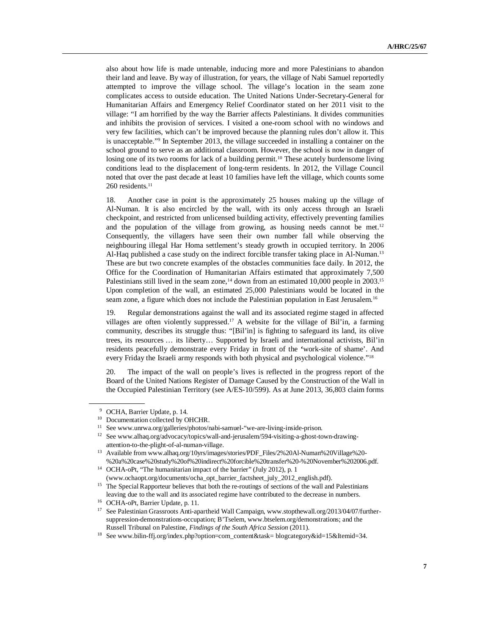also about how life is made untenable, inducing more and more Palestinians to abandon their land and leave. By way of illustration, for years, the village of Nabi Samuel reportedly attempted to improve the village school. The village's location in the seam zone complicates access to outside education. The United Nations Under-Secretary-General for Humanitarian Affairs and Emergency Relief Coordinator stated on her 2011 visit to the village: "I am horrified by the way the Barrier affects Palestinians. It divides communities and inhibits the provision of services. I visited a one-room school with no windows and very few facilities, which can't be improved because the planning rules don't allow it. This is unacceptable." 9 In September 2013, the village succeeded in installing a container on the school ground to serve as an additional classroom. However, the school is now in danger of losing one of its two rooms for lack of a building permit.<sup>10</sup> These acutely burdensome living conditions lead to the displacement of long-term residents. In 2012, the Village Council noted that over the past decade at least 10 families have left the village, which counts some 260 residents. 11

18. Another case in point is the approximately 25 houses making up the village of Al-Numan. It is also encircled by the wall, with its only access through an Israeli checkpoint, and restricted from unlicensed building activity, effectively preventing families and the population of the village from growing, as housing needs cannot be met.<sup>12</sup> Consequently, the villagers have seen their own number fall while observing the neighbouring illegal Har Homa settlement's steady growth in occupied territory. In 2006 Al-Haq published a case study on the indirect forcible transfer taking place in Al-Numan.<sup>13</sup> These are but two concrete examples of the obstacles communities face daily. In 2012, the Office for the Coordination of Humanitarian Affairs estimated that approximately 7,500 Palestinians still lived in the seam zone,<sup>14</sup> down from an estimated 10,000 people in 2003.<sup>15</sup> Upon completion of the wall, an estimated 25,000 Palestinians would be located in the seam zone, a figure which does not include the Palestinian population in East Jerusalem.<sup>16</sup>

19. Regular demonstrations against the wall and its associated regime staged in affected villages are often violently suppressed. <sup>17</sup> A website for the village of Bil'in, a farming community, describes its struggle thus: "[Bil'in] is fighting to safeguard its land, its olive trees, its resources … its liberty… Supported by Israeli and international activists, Bil'in residents peacefully demonstrate every Friday in front of the **'**work-site of shame'. And every Friday the Israeli army responds with both physical and psychological violence."<sup>18</sup>

20. The impact of the wall on people's lives is reflected in the progress report of the Board of the United Nations Register of Damage Caused by the Construction of the Wall in the Occupied Palestinian Territory (see A/ES-10/599). As at June 2013, 36,803 claim forms

OCHA, Barrier Update, p. 14.

<sup>&</sup>lt;sup>10</sup> Documentation collected by OHCHR.

<sup>&</sup>lt;sup>11</sup> See www.unrwa.org/galleries/photos/nabi-samuel-"we-are-living-inside-prison.

<sup>12</sup> See www.alhaq.org/advocacy/topics/wall-and-jerusalem/594-visiting-a-ghost-town-drawingattention-to-the-plight-of-al-numan-village.

<sup>&</sup>lt;sup>13</sup> Available from www.alhaq.org/10yrs/images/stories/PDF\_Files/2%20Al-Numan%20Village%20-%20a%20case%20study%20of%20indirect%20forcible%20transfer%20-%20November%202006.pdf.

<sup>14</sup> OCHA-oPt, "The humanitarian impact of the barrier" (July 2012), p. 1 (www.ochaopt.org/documents/ocha\_opt\_barrier\_factsheet\_july\_2012\_english.pdf).

<sup>&</sup>lt;sup>15</sup> The Special Rapporteur believes that both the re-routings of sections of the wall and Palestinians leaving due to the wall and its associated regime have contributed to the decrease in numbers.

<sup>16</sup> OCHA-oPt, Barrier Update, p. 11.

<sup>&</sup>lt;sup>17</sup> See Palestinian Grassroots Anti-apartheid Wall Campaign, www.stopthewall.org/2013/04/07/furthersuppression-demonstrations-occupation; B'Tselem, www.btselem.org/demonstrations; and the Russell Tribunal on Palestine, *Findings of the South Africa Session* (2011).

<sup>18</sup> See www.bilin-ffj.org/index.php?option=com\_content&task= blogcategory&id=15&Itemid=34.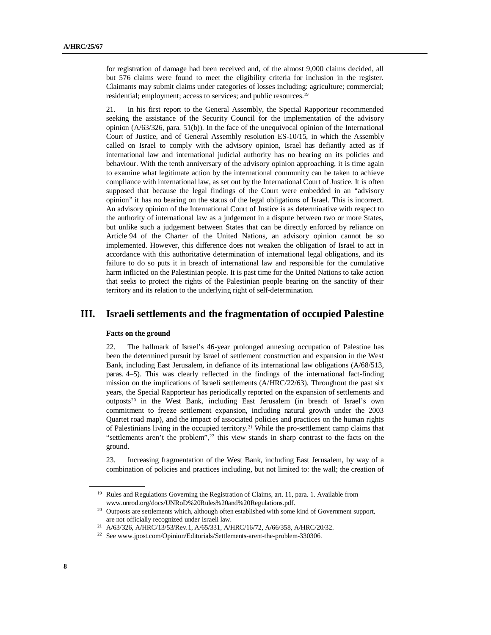for registration of damage had been received and, of the almost 9,000 claims decided, all but 576 claims were found to meet the eligibility criteria for inclusion in the register. Claimants may submit claims under categories of losses including: agriculture; commercial; residential; employment; access to services; and public resources. 19

21. In his first report to the General Assembly, the Special Rapporteur recommended seeking the assistance of the Security Council for the implementation of the advisory opinion (A/63/326, para. 51(b)). In the face of the unequivocal opinion of the International Court of Justice, and of General Assembly resolution ES-10/15, in which the Assembly called on Israel to comply with the advisory opinion, Israel has defiantly acted as if international law and international judicial authority has no bearing on its policies and behaviour. With the tenth anniversary of the advisory opinion approaching, it is time again to examine what legitimate action by the international community can be taken to achieve compliance with international law, as set out by the International Court of Justice. It is often supposed that because the legal findings of the Court were embedded in an "advisory opinion" it has no bearing on the status of the legal obligations of Israel. This is incorrect. An advisory opinion of the International Court of Justice is as determinative with respect to the authority of international law as a judgement in a dispute between two or more States, but unlike such a judgement between States that can be directly enforced by reliance on Article 94 of the Charter of the United Nations, an advisory opinion cannot be so implemented. However, this difference does not weaken the obligation of Israel to act in accordance with this authoritative determination of international legal obligations, and its failure to do so puts it in breach of international law and responsible for the cumulative harm inflicted on the Palestinian people. It is past time for the United Nations to take action that seeks to protect the rights of the Palestinian people bearing on the sanctity of their territory and its relation to the underlying right of self-determination.

# **III. Israeli settlements and the fragmentation of occupied Palestine**

#### **Facts on the ground**

22. The hallmark of Israel's 46-year prolonged annexing occupation of Palestine has been the determined pursuit by Israel of settlement construction and expansion in the West Bank, including East Jerusalem, in defiance of its international law obligations (A/68/513, paras. 4–5). This was clearly reflected in the findings of the international fact-finding mission on the implications of Israeli settlements (A/HRC/22/63). Throughout the past six years, the Special Rapporteur has periodically reported on the expansion of settlements and outposts<sup>20</sup> in the West Bank, including East Jerusalem (in breach of Israel's own commitment to freeze settlement expansion, including natural growth under the 2003 Quartet road map), and the impact of associated policies and practices on the human rights of Palestinians living in the occupied territory.<sup>21</sup> While the pro-settlement camp claims that "settlements aren't the problem", <sup>22</sup> this view stands in sharp contrast to the facts on the ground.

23. Increasing fragmentation of the West Bank, including East Jerusalem, by way of a combination of policies and practices including, but not limited to: the wall; the creation of

<sup>&</sup>lt;sup>19</sup> Rules and Regulations Governing the Registration of Claims, art. 11, para. 1. Available from www.unrod.org/docs/UNRoD%20Rules%20and%20Regulations.pdf.

<sup>&</sup>lt;sup>20</sup> Outposts are settlements which, although often established with some kind of Government support, are not officially recognized under Israeli law.

<sup>21</sup> A/63/326, A/HRC/13/53/Rev.1, A/65/331, A/HRC/16/72, A/66/358, A/HRC/20/32.

<sup>&</sup>lt;sup>22</sup> See www.jpost.com/Opinion/Editorials/Settlements-arent-the-problem-330306.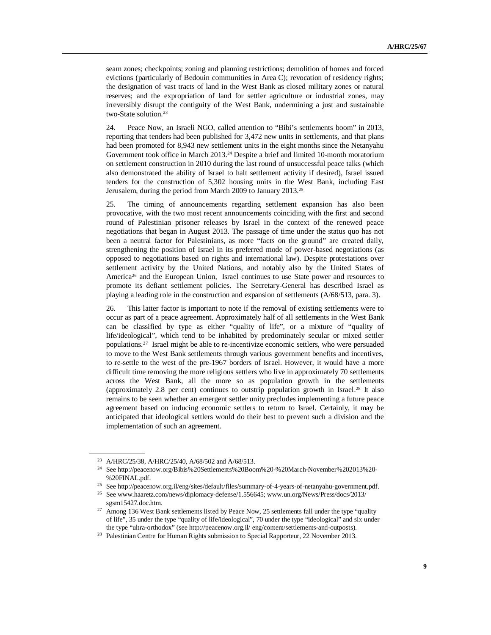seam zones; checkpoints; zoning and planning restrictions; demolition of homes and forced evictions (particularly of Bedouin communities in Area C); revocation of residency rights; the designation of vast tracts of land in the West Bank as closed military zones or natural reserves; and the expropriation of land for settler agriculture or industrial zones, may irreversibly disrupt the contiguity of the West Bank, undermining a just and sustainable two-State solution. 23

24. Peace Now, an Israeli NGO, called attention to "Bibi's settlements boom" in 2013, reporting that tenders had been published for 3,472 new units in settlements, and that plans had been promoted for 8,943 new settlement units in the eight months since the Netanyahu Government took office in March 2013.<sup>24</sup> Despite a brief and limited 10-month moratorium on settlement construction in 2010 during the last round of unsuccessful peace talks (which also demonstrated the ability of Israel to halt settlement activity if desired), Israel issued tenders for the construction of 5,302 housing units in the West Bank, including East Jerusalem, during the period from March 2009 to January 2013.<sup>25</sup>

25. The timing of announcements regarding settlement expansion has also been provocative, with the two most recent announcements coinciding with the first and second round of Palestinian prisoner releases by Israel in the context of the renewed peace negotiations that began in August 2013. The passage of time under the status quo has not been a neutral factor for Palestinians, as more "facts on the ground" are created daily, strengthening the position of Israel in its preferred mode of power-based negotiations (as opposed to negotiations based on rights and international law). Despite protestations over settlement activity by the United Nations, and notably also by the United States of America<sup>26</sup> and the European Union, Israel continues to use State power and resources to promote its defiant settlement policies. The Secretary-General has described Israel as playing a leading role in the construction and expansion of settlements (A/68/513, para. 3).

26. This latter factor is important to note if the removal of existing settlements were to occur as part of a peace agreement. Approximately half of all settlements in the West Bank can be classified by type as either "quality of life", or a mixture of "quality of life/ideological", which tend to be inhabited by predominately secular or mixed settler populations.<sup>27</sup> Israel might be able to re-incentivize economic settlers, who were persuaded to move to the West Bank settlements through various government benefits and incentives, to re-settle to the west of the pre-1967 borders of Israel. However, it would have a more difficult time removing the more religious settlers who live in approximately 70 settlements across the West Bank, all the more so as population growth in the settlements (approximately 2.8 per cent) continues to outstrip population growth in Israel.<sup>28</sup> It also remains to be seen whether an emergent settler unity precludes implementing a future peace agreement based on inducing economic settlers to return to Israel. Certainly, it may be anticipated that ideological settlers would do their best to prevent such a division and the implementation of such an agreement.

<sup>23</sup> A/HRC/25/38, A/HRC/25/40, A/68/502 and A/68/513.

<sup>24</sup> See http://peacenow.org/Bibis%20Settlements%20Boom%20-%20March-November%202013%20- %20FINAL.pdf.

<sup>25</sup> See http://peacenow.org.il/eng/sites/default/files/summary-of-4-years-of-netanyahu-government.pdf.

<sup>26</sup> See www.haaretz.com/news/diplomacy-defense/1.556645; www.un.org/News/Press/docs/2013/ sgsm15427.doc.htm.

<sup>&</sup>lt;sup>27</sup> Among 136 West Bank settlements listed by Peace Now, 25 settlements fall under the type "quality of life", 35 under the type "quality of life/ideological", 70 under the type "ideological" and six under the type "ultra-orthodox" (see http://peacenow.org.il/ eng/content/settlements-and-outposts).

<sup>&</sup>lt;sup>28</sup> Palestinian Centre for Human Rights submission to Special Rapporteur, 22 November 2013.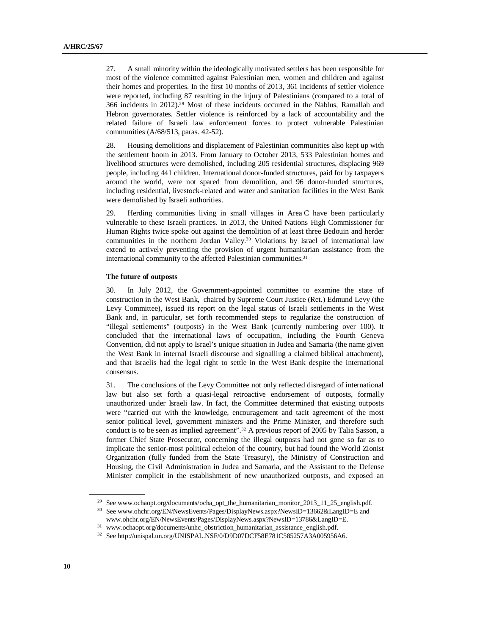27. A small minority within the ideologically motivated settlers has been responsible for most of the violence committed against Palestinian men, women and children and against their homes and properties. In the first 10 months of 2013, 361 incidents of settler violence were reported, including 87 resulting in the injury of Palestinians (compared to a total of 366 incidents in 2012).<sup>29</sup> Most of these incidents occurred in the Nablus, Ramallah and Hebron governorates. Settler violence is reinforced by a lack of accountability and the related failure of Israeli law enforcement forces to protect vulnerable Palestinian communities (A/68/513, paras. 42-52).

28. Housing demolitions and displacement of Palestinian communities also kept up with the settlement boom in 2013. From January to October 2013, 533 Palestinian homes and livelihood structures were demolished, including 205 residential structures, displacing 969 people, including 441 children. International donor-funded structures, paid for by taxpayers around the world, were not spared from demolition, and 96 donor-funded structures, including residential, livestock-related and water and sanitation facilities in the West Bank were demolished by Israeli authorities.

29. Herding communities living in small villages in Area C have been particularly vulnerable to these Israeli practices. In 2013, the United Nations High Commissioner for Human Rights twice spoke out against the demolition of at least three Bedouin and herder communities in the northern Jordan Valley.<sup>30</sup> Violations by Israel of international law extend to actively preventing the provision of urgent humanitarian assistance from the international community to the affected Palestinian communities.<sup>31</sup>

#### **The future of outposts**

30. In July 2012, the Government-appointed committee to examine the state of construction in the West Bank, chaired by Supreme Court Justice (Ret.) Edmund Levy (the Levy Committee), issued its report on the legal status of Israeli settlements in the West Bank and, in particular, set forth recommended steps to regularize the construction of "illegal settlements" (outposts) in the West Bank (currently numbering over 100). It concluded that the international laws of occupation, including the Fourth Geneva Convention, did not apply to Israel's unique situation in Judea and Samaria (the name given the West Bank in internal Israeli discourse and signalling a claimed biblical attachment), and that Israelis had the legal right to settle in the West Bank despite the international consensus.

31. The conclusions of the Levy Committee not only reflected disregard of international law but also set forth a quasi-legal retroactive endorsement of outposts, formally unauthorized under Israeli law. In fact, the Committee determined that existing outposts were "carried out with the knowledge, encouragement and tacit agreement of the most senior political level, government ministers and the Prime Minister, and therefore such conduct is to be seen as implied agreement". <sup>32</sup> A previous report of 2005 by Talia Sasson, a former Chief State Prosecutor, concerning the illegal outposts had not gone so far as to implicate the senior-most political echelon of the country, but had found the World Zionist Organization (fully funded from the State Treasury), the Ministry of Construction and Housing, the Civil Administration in Judea and Samaria, and the Assistant to the Defense Minister complicit in the establishment of new unauthorized outposts, and exposed an

<sup>&</sup>lt;sup>29</sup> See www.ochaopt.org/documents/ocha\_opt\_the\_humanitarian\_monitor\_2013\_11\_25\_english.pdf.

<sup>30</sup> See www.ohchr.org/EN/NewsEvents/Pages/DisplayNews.aspx?NewsID=13662&LangID=E and

www.ohchr.org/EN/NewsEvents/Pages/DisplayNews.aspx?NewsID=13786&LangID=E. <sup>31</sup> www.ochaopt.org/documents/unhc\_obstriction\_humanitarian\_assistance\_english.pdf.

<sup>32</sup> See http://unispal.un.org/UNISPAL.NSF/0/D9D07DCF58E781C585257A3A005956A6.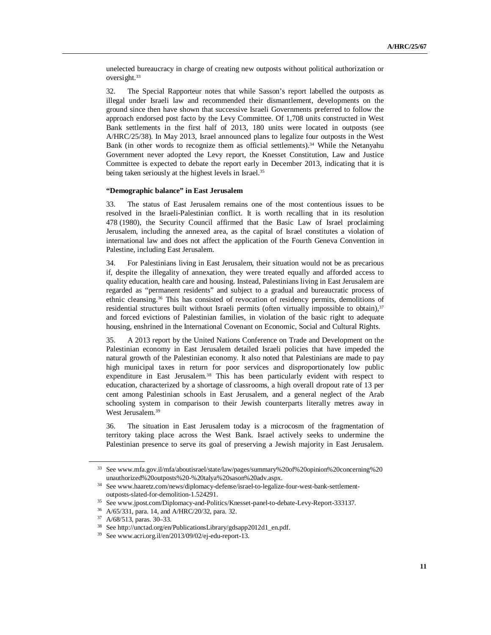unelected bureaucracy in charge of creating new outposts without political authorization or oversight.<sup>33</sup>

32. The Special Rapporteur notes that while Sasson's report labelled the outposts as illegal under Israeli law and recommended their dismantlement, developments on the ground since then have shown that successive Israeli Governments preferred to follow the approach endorsed post facto by the Levy Committee. Of 1,708 units constructed in West Bank settlements in the first half of 2013, 180 units were located in outposts (see A/HRC/25/38). In May 2013, Israel announced plans to legalize four outposts in the West Bank (in other words to recognize them as official settlements). <sup>34</sup> While the Netanyahu Government never adopted the Levy report, the Knesset Constitution, Law and Justice Committee is expected to debate the report early in December 2013, indicating that it is being taken seriously at the highest levels in Israel.<sup>35</sup>

#### **"Demographic balance" in East Jerusalem**

33. The status of East Jerusalem remains one of the most contentious issues to be resolved in the Israeli-Palestinian conflict. It is worth recalling that in its resolution 478 (1980), the Security Council affirmed that the Basic Law of Israel proclaiming Jerusalem, including the annexed area, as the capital of Israel constitutes a violation of international law and does not affect the application of the Fourth Geneva Convention in Palestine, including East Jerusalem.

34. For Palestinians living in East Jerusalem, their situation would not be as precarious if, despite the illegality of annexation, they were treated equally and afforded access to quality education, health care and housing. Instead, Palestinians living in East Jerusalem are regarded as "permanent residents" and subject to a gradual and bureaucratic process of ethnic cleansing.<sup>36</sup> This has consisted of revocation of residency permits, demolitions of residential structures built without Israeli permits (often virtually impossible to obtain),<sup>37</sup> and forced evictions of Palestinian families, in violation of the basic right to adequate housing, enshrined in the International Covenant on Economic, Social and Cultural Rights.

35. A 2013 report by the United Nations Conference on Trade and Development on the Palestinian economy in East Jerusalem detailed Israeli policies that have impeded the natural growth of the Palestinian economy. It also noted that Palestinians are made to pay high municipal taxes in return for poor services and disproportionately low public expenditure in East Jerusalem.<sup>38</sup> This has been particularly evident with respect to education, characterized by a shortage of classrooms, a high overall dropout rate of 13 per cent among Palestinian schools in East Jerusalem, and a general neglect of the Arab schooling system in comparison to their Jewish counterparts literally metres away in West Jerusalem.<sup>39</sup>

36. The situation in East Jerusalem today is a microcosm of the fragmentation of territory taking place across the West Bank. Israel actively seeks to undermine the Palestinian presence to serve its goal of preserving a Jewish majority in East Jerusalem.

<sup>33</sup> See www.mfa.gov.il/mfa/aboutisrael/state/law/pages/summary%20of%20opinion%20concerning%20 unauthorized%20outposts%20-%20talya%20sason%20adv.aspx.

<sup>34</sup> See www.haaretz.com/news/diplomacy-defense/israel-to-legalize-four-west-bank-settlementoutposts-slated-for-demolition-1.524291.

<sup>35</sup> See www.jpost.com/Diplomacy-and-Politics/Knesset-panel-to-debate-Levy-Report-333137.

<sup>36</sup> A/65/331, para. 14, and A/HRC/20/32, para. 32.

<sup>37</sup> A/68/513, paras. 30–33.

<sup>38</sup> See http://unctad.org/en/PublicationsLibrary/gdsapp2012d1\_en.pdf.

<sup>39</sup> See www.acri.org.il/en/2013/09/02/ej-edu-report-13.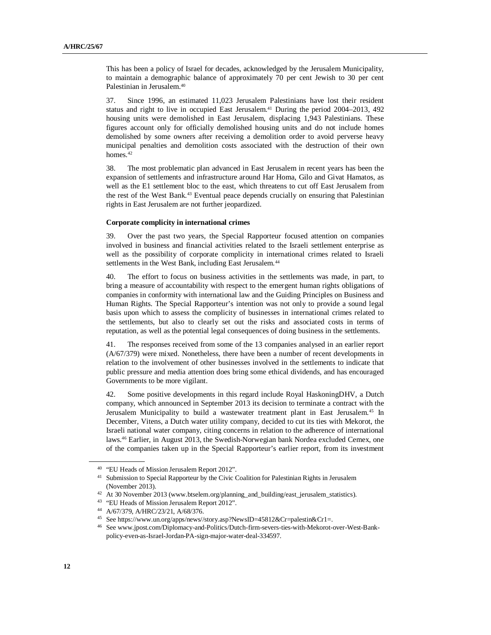This has been a policy of Israel for decades, acknowledged by the Jerusalem Municipality, to maintain a demographic balance of approximately 70 per cent Jewish to 30 per cent Palestinian in Jerusalem.<sup>40</sup>

37. Since 1996, an estimated 11,023 Jerusalem Palestinians have lost their resident status and right to live in occupied East Jerusalem.<sup>41</sup> During the period 2004–2013, 492 housing units were demolished in East Jerusalem, displacing 1,943 Palestinians. These figures account only for officially demolished housing units and do not include homes demolished by some owners after receiving a demolition order to avoid perverse heavy municipal penalties and demolition costs associated with the destruction of their own homes.<sup>42</sup>

38. The most problematic plan advanced in East Jerusalem in recent years has been the expansion of settlements and infrastructure around Har Homa, Gilo and Givat Hamatos, as well as the E1 settlement bloc to the east, which threatens to cut off East Jerusalem from the rest of the West Bank.<sup>43</sup> Eventual peace depends crucially on ensuring that Palestinian rights in East Jerusalem are not further jeopardized.

#### **Corporate complicity in international crimes**

39. Over the past two years, the Special Rapporteur focused attention on companies involved in business and financial activities related to the Israeli settlement enterprise as well as the possibility of corporate complicity in international crimes related to Israeli settlements in the West Bank, including East Jerusalem.<sup>44</sup>

40. The effort to focus on business activities in the settlements was made, in part, to bring a measure of accountability with respect to the emergent human rights obligations of companies in conformity with international law and the Guiding Principles on Business and Human Rights. The Special Rapporteur's intention was not only to provide a sound legal basis upon which to assess the complicity of businesses in international crimes related to the settlements, but also to clearly set out the risks and associated costs in terms of reputation, as well as the potential legal consequences of doing business in the settlements.

41. The responses received from some of the 13 companies analysed in an earlier report (A/67/379) were mixed. Nonetheless, there have been a number of recent developments in relation to the involvement of other businesses involved in the settlements to indicate that public pressure and media attention does bring some ethical dividends, and has encouraged Governments to be more vigilant.

42. Some positive developments in this regard include Royal HaskoningDHV, a Dutch company, which announced in September 2013 its decision to terminate a contract with the Jerusalem Municipality to build a wastewater treatment plant in East Jerusalem.<sup>45</sup> In December, Vitens, a Dutch water utility company, decided to cut its ties with Mekorot, the Israeli national water company, citing concerns in relation to the adherence of international laws.<sup>46</sup> Earlier, in August 2013, the Swedish-Norwegian bank Nordea excluded Cemex, one of the companies taken up in the Special Rapporteur's earlier report, from its investment

<sup>40</sup> "EU Heads of Mission Jerusalem Report 2012".

<sup>41</sup> Submission to Special Rapporteur by the Civic Coalition for Palestinian Rights in Jerusalem (November 2013).

<sup>42</sup> At 30 November 2013 (www.btselem.org/planning\_and\_building/east\_jerusalem\_statistics).

<sup>&</sup>lt;sup>43</sup> "EU Heads of Mission Jerusalem Report 2012".

<sup>44</sup> A/67/379, A/HRC/23/21, A/68/376.

<sup>45</sup> See https://www.un.org/apps/news//story.asp?NewsID=45812&Cr=palestin&Cr1=.

<sup>46</sup> See www.jpost.com/Diplomacy-and-Politics/Dutch-firm-severs-ties-with-Mekorot-over-West-Bankpolicy-even-as-Israel-Jordan-PA-sign-major-water-deal-334597.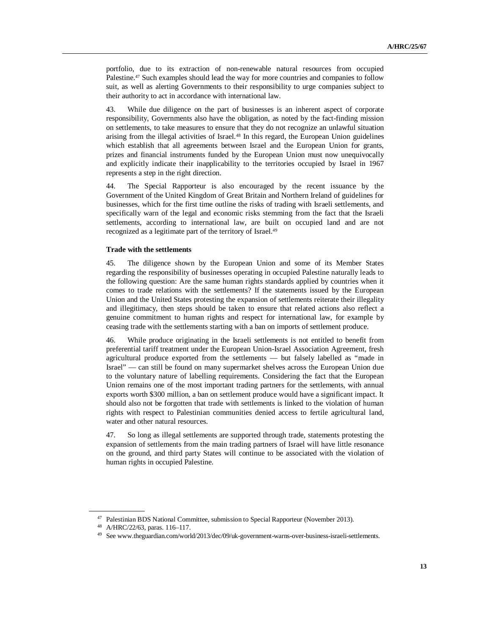portfolio, due to its extraction of non-renewable natural resources from occupied Palestine.<sup>47</sup> Such examples should lead the way for more countries and companies to follow suit, as well as alerting Governments to their responsibility to urge companies subject to their authority to act in accordance with international law.

43. While due diligence on the part of businesses is an inherent aspect of corporate responsibility, Governments also have the obligation, as noted by the fact-finding mission on settlements, to take measures to ensure that they do not recognize an unlawful situation arising from the illegal activities of Israel. <sup>48</sup> In this regard, the European Union guidelines which establish that all agreements between Israel and the European Union for grants, prizes and financial instruments funded by the European Union must now unequivocally and explicitly indicate their inapplicability to the territories occupied by Israel in 1967 represents a step in the right direction.

44. The Special Rapporteur is also encouraged by the recent issuance by the Government of the United Kingdom of Great Britain and Northern Ireland of guidelines for businesses, which for the first time outline the risks of trading with Israeli settlements, and specifically warn of the legal and economic risks stemming from the fact that the Israeli settlements, according to international law, are built on occupied land and are not recognized as a legitimate part of the territory of Israel. 49

#### **Trade with the settlements**

45. The diligence shown by the European Union and some of its Member States regarding the responsibility of businesses operating in occupied Palestine naturally leads to the following question: Are the same human rights standards applied by countries when it comes to trade relations with the settlements? If the statements issued by the European Union and the United States protesting the expansion of settlements reiterate their illegality and illegitimacy, then steps should be taken to ensure that related actions also reflect a genuine commitment to human rights and respect for international law, for example by ceasing trade with the settlements starting with a ban on imports of settlement produce.

46. While produce originating in the Israeli settlements is not entitled to benefit from preferential tariff treatment under the European Union-Israel Association Agreement, fresh agricultural produce exported from the settlements — but falsely labelled as "made in Israel" — can still be found on many supermarket shelves across the European Union due to the voluntary nature of labelling requirements. Considering the fact that the European Union remains one of the most important trading partners for the settlements, with annual exports worth \$300 million, a ban on settlement produce would have a significant impact. It should also not be forgotten that trade with settlements is linked to the violation of human rights with respect to Palestinian communities denied access to fertile agricultural land, water and other natural resources.

47. So long as illegal settlements are supported through trade, statements protesting the expansion of settlements from the main trading partners of Israel will have little resonance on the ground, and third party States will continue to be associated with the violation of human rights in occupied Palestine.

<sup>&</sup>lt;sup>47</sup> Palestinian BDS National Committee, submission to Special Rapporteur (November 2013).

<sup>48</sup> A/HRC/22/63, paras. 116–117.

<sup>49</sup> See www.theguardian.com/world/2013/dec/09/uk-government-warns-over-business-israeli-settlements.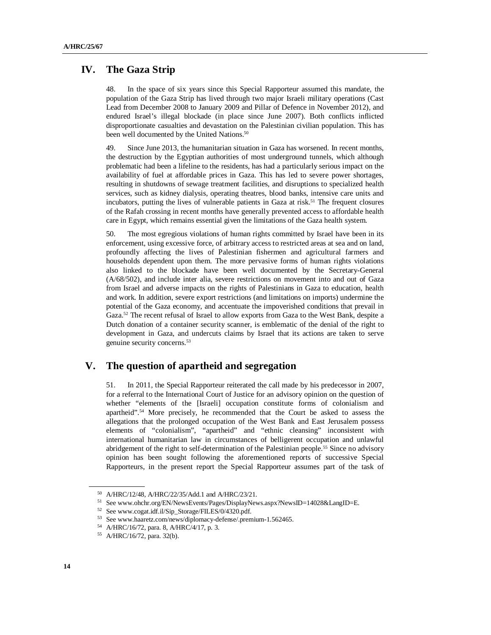### **IV. The Gaza Strip**

48. In the space of six years since this Special Rapporteur assumed this mandate, the population of the Gaza Strip has lived through two major Israeli military operations (Cast Lead from December 2008 to January 2009 and Pillar of Defence in November 2012), and endured Israel's illegal blockade (in place since June 2007). Both conflicts inflicted disproportionate casualties and devastation on the Palestinian civilian population. This has been well documented by the United Nations.<sup>50</sup>

49. Since June 2013, the humanitarian situation in Gaza has worsened. In recent months, the destruction by the Egyptian authorities of most underground tunnels, which although problematic had been a lifeline to the residents, has had a particularly serious impact on the availability of fuel at affordable prices in Gaza. This has led to severe power shortages, resulting in shutdowns of sewage treatment facilities, and disruptions to specialized health services, such as kidney dialysis, operating theatres, blood banks, intensive care units and incubators, putting the lives of vulnerable patients in Gaza at risk.<sup>51</sup> The frequent closures of the Rafah crossing in recent months have generally prevented access to affordable health care in Egypt, which remains essential given the limitations of the Gaza health system.

50. The most egregious violations of human rights committed by Israel have been in its enforcement, using excessive force, of arbitrary access to restricted areas at sea and on land, profoundly affecting the lives of Palestinian fishermen and agricultural farmers and households dependent upon them. The more pervasive forms of human rights violations also linked to the blockade have been well documented by the Secretary-General (A/68/502), and include inter alia, severe restrictions on movement into and out of Gaza from Israel and adverse impacts on the rights of Palestinians in Gaza to education, health and work. In addition, severe export restrictions (and limitations on imports) undermine the potential of the Gaza economy, and accentuate the impoverished conditions that prevail in Gaza.<sup>52</sup> The recent refusal of Israel to allow exports from Gaza to the West Bank, despite a Dutch donation of a container security scanner, is emblematic of the denial of the right to development in Gaza, and undercuts claims by Israel that its actions are taken to serve genuine security concerns.<sup>53</sup>

# **V. The question of apartheid and segregation**

51. In 2011, the Special Rapporteur reiterated the call made by his predecessor in 2007, for a referral to the International Court of Justice for an advisory opinion on the question of whether "elements of the [Israeli] occupation constitute forms of colonialism and apartheid".<sup>54</sup> More precisely, he recommended that the Court be asked to assess the allegations that the prolonged occupation of the West Bank and East Jerusalem possess elements of "colonialism", "apartheid" and "ethnic cleansing" inconsistent with international humanitarian law in circumstances of belligerent occupation and unlawful abridgement of the right to self-determination of the Palestinian people.<sup>55</sup> Since no advisory opinion has been sought following the aforementioned reports of successive Special Rapporteurs, in the present report the Special Rapporteur assumes part of the task of

<sup>50</sup> A/HRC/12/48, A/HRC/22/35/Add.1 and A/HRC/23/21.

<sup>51</sup> See www.ohchr.org/EN/NewsEvents/Pages/DisplayNews.aspx?NewsID=14028&LangID=E.

<sup>52</sup> See www.cogat.idf.il/Sip\_Storage/FILES/0/4320.pdf.

<sup>53</sup> See www.haaretz.com/news/diplomacy-defense/.premium-1.562465.

<sup>54</sup> A/HRC/16/72, para. 8, A/HRC/4/17, p. 3.

<sup>55</sup> A/HRC/16/72, para. 32(b).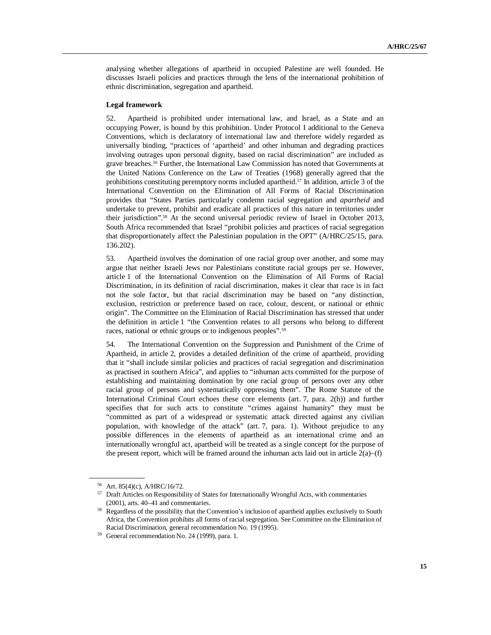analysing whether allegations of apartheid in occupied Palestine are well founded. He discusses Israeli policies and practices through the lens of the international prohibition of ethnic discrimination, segregation and apartheid.

#### **Legal framework**

52. Apartheid is prohibited under international law, and Israel, as a State and an occupying Power, is bound by this prohibition. Under Protocol I additional to the Geneva Conventions, which is declaratory of international law and therefore widely regarded as universally binding, "practices of 'apartheid' and other inhuman and degrading practices involving outrages upon personal dignity, based on racial discrimination" are included as grave breaches.<sup>56</sup> Further, the International Law Commission has noted that Governments at the United Nations Conference on the Law of Treaties (1968) generally agreed that the prohibitions constituting peremptory norms included apartheid.<sup>57</sup> In addition, article 3 of the International Convention on the Elimination of All Forms of Racial Discrimination provides that "States Parties particularly condemn racial segregation and *apartheid* and undertake to prevent, prohibit and eradicate all practices of this nature in territories under their jurisdiction". <sup>58</sup> At the second universal periodic review of Israel in October 2013, South Africa recommended that Israel "prohibit policies and practices of racial segregation that disproportionately affect the Palestinian population in the OPT" (A/HRC/25/15, para. 136.202).

53. Apartheid involves the domination of one racial group over another, and some may argue that neither Israeli Jews nor Palestinians constitute racial groups per se. However, article 1 of the International Convention on the Elimination of All Forms of Racial Discrimination, in its definition of racial discrimination, makes it clear that race is in fact not the sole factor, but that racial discrimination may be based on "any distinction, exclusion, restriction or preference based on race, colour, descent, or national or ethnic origin". The Committee on the Elimination of Racial Discrimination has stressed that under the definition in article 1 "the Convention relates to all persons who belong to different races, national or ethnic groups or to indigenous peoples".<sup>59</sup>

54. The International Convention on the Suppression and Punishment of the Crime of Apartheid, in article 2, provides a detailed definition of the crime of apartheid, providing that it "shall include similar policies and practices of racial segregation and discrimination as practised in southern Africa", and applies to "inhuman acts committed for the purpose of establishing and maintaining domination by one racial group of persons over any other racial group of persons and systematically oppressing them". The Rome Statute of the International Criminal Court echoes these core elements (art. 7, para. 2(h)) and further specifies that for such acts to constitute "crimes against humanity" they must be "committed as part of a widespread or systematic attack directed against any civilian population, with knowledge of the attack" (art. 7, para. 1). Without prejudice to any possible differences in the elements of apartheid as an international crime and an internationally wrongful act, apartheid will be treated as a single concept for the purpose of the present report, which will be framed around the inhuman acts laid out in article  $2(a)$ –(f)

<sup>56</sup> Art. 85(4)(c), A/HRC/16/72.

<sup>57</sup> Draft Articles on Responsibility of States for Internationally Wrongful Acts, with commentaries (2001), arts. 40–41 and commentaries.

<sup>&</sup>lt;sup>58</sup> Regardless of the possibility that the Convention's inclusion of apartheid applies exclusively to South Africa, the Convention prohibits all forms of racial segregation. See Committee on the Elimination of Racial Discrimination, general recommendation No. 19 (1995).

<sup>59</sup> General recommendation No. 24 (1999), para. 1.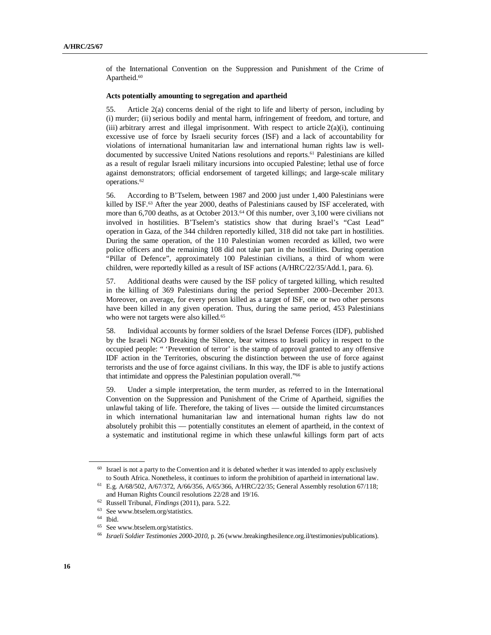of the International Convention on the Suppression and Punishment of the Crime of Apartheid.<sup>60</sup>

#### **Acts potentially amounting to segregation and apartheid**

55. Article 2(a) concerns denial of the right to life and liberty of person, including by (i) murder; (ii) serious bodily and mental harm, infringement of freedom, and torture, and (iii) arbitrary arrest and illegal imprisonment. With respect to article 2(a)(i), continuing excessive use of force by Israeli security forces (ISF) and a lack of accountability for violations of international humanitarian law and international human rights law is welldocumented by successive United Nations resolutions and reports. <sup>61</sup> Palestinians are killed as a result of regular Israeli military incursions into occupied Palestine; lethal use of force against demonstrators; official endorsement of targeted killings; and large-scale military operations.<sup>62</sup>

56. According to B'Tselem, between 1987 and 2000 just under 1,400 Palestinians were killed by ISF.<sup>63</sup> After the year 2000, deaths of Palestinians caused by ISF accelerated, with more than 6,700 deaths, as at October 2013.<sup>64</sup> Of this number, over 3,100 were civilians not involved in hostilities. B'Tselem's statistics show that during Israel's "Cast Lead" operation in Gaza, of the 344 children reportedly killed, 318 did not take part in hostilities. During the same operation, of the 110 Palestinian women recorded as killed, two were police officers and the remaining 108 did not take part in the hostilities. During operation "Pillar of Defence", approximately 100 Palestinian civilians, a third of whom were children, were reportedly killed as a result of ISF actions (A/HRC/22/35/Add.1, para. 6).

57. Additional deaths were caused by the ISF policy of targeted killing, which resulted in the killing of 369 Palestinians during the period September 2000–December 2013. Moreover, on average, for every person killed as a target of ISF, one or two other persons have been killed in any given operation. Thus, during the same period, 453 Palestinians who were not targets were also killed. 65

58. Individual accounts by former soldiers of the Israel Defense Forces (IDF), published by the Israeli NGO Breaking the Silence, bear witness to Israeli policy in respect to the occupied people: " 'Prevention of terror' is the stamp of approval granted to any offensive IDF action in the Territories, obscuring the distinction between the use of force against terrorists and the use of force against civilians. In this way, the IDF is able to justify actions that intimidate and oppress the Palestinian population overall." 66

59. Under a simple interpretation, the term murder, as referred to in the International Convention on the Suppression and Punishment of the Crime of Apartheid, signifies the unlawful taking of life. Therefore, the taking of lives — outside the limited circumstances in which international humanitarian law and international human rights law do not absolutely prohibit this — potentially constitutes an element of apartheid, in the context of a systematic and institutional regime in which these unlawful killings form part of acts

<sup>&</sup>lt;sup>60</sup> Israel is not a party to the Convention and it is debated whether it was intended to apply exclusively to South Africa. Nonetheless, it continues to inform the prohibition of apartheid in international law.

<sup>61</sup> E.g. A/68/502, A/67/372, A/66/356, A/65/366, A/HRC/22/35; General Assembly resolution 67/118; and Human Rights Council resolutions 22/28 and 19/16.

<sup>62</sup> Russell Tribunal, *Findings* (2011), para. 5.22.

<sup>63</sup> See www.btselem.org/statistics.

<sup>64</sup> Ibid.

<sup>65</sup> See www.btselem.org/statistics.

<sup>66</sup> *Israeli Soldier Testimonies 2000-2010*, p. 26 (www.breakingthesilence.org.il/testimonies/publications).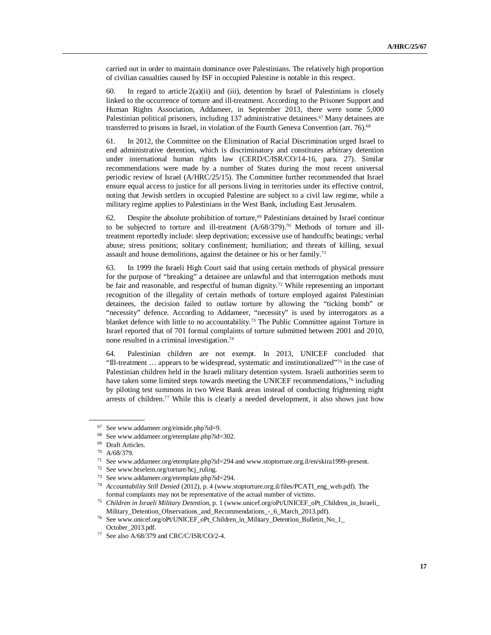carried out in order to maintain dominance over Palestinians. The relatively high proportion of civilian casualties caused by ISF in occupied Palestine is notable in this respect.

60. In regard to article  $2(a)(ii)$  and (iii), detention by Israel of Palestinians is closely linked to the occurrence of torture and ill-treatment. According to the Prisoner Support and Human Rights Association, Addameer, in September 2013, there were some 5,000 Palestinian political prisoners, including 137 administrative detainees.<sup>67</sup> Many detainees are transferred to prisons in Israel, in violation of the Fourth Geneva Convention (art. 76). 68

61. In 2012, the Committee on the Elimination of Racial Discrimination urged Israel to end administrative detention, which is discriminatory and constitutes arbitrary detention under international human rights law (CERD/C/ISR/CO/14-16, para. 27). Similar recommendations were made by a number of States during the most recent universal periodic review of Israel (A/HRC/25/15). The Committee further recommended that Israel ensure equal access to justice for all persons living in territories under its effective control, noting that Jewish settlers in occupied Palestine are subject to a civil law regime, while a military regime applies to Palestinians in the West Bank, including East Jerusalem.

62. Despite the absolute prohibition of torture, <sup>69</sup> Palestinians detained by Israel continue to be subjected to torture and ill-treatment  $(A/68/379).<sup>70</sup>$  Methods of torture and illtreatment reportedly include: sleep deprivation; excessive use of handcuffs; beatings; verbal abuse; stress positions; solitary confinement; humiliation; and threats of killing, sexual assault and house demolitions, against the detainee or his or her family. 71

63. In 1999 the Israeli High Court said that using certain methods of physical pressure for the purpose of "breaking" a detainee are unlawful and that interrogation methods must be fair and reasonable, and respectful of human dignity.<sup>72</sup> While representing an important recognition of the illegality of certain methods of torture employed against Palestinian detainees, the decision failed to outlaw torture by allowing the "ticking bomb" or "necessity" defence. According to Addameer, "necessity" is used by interrogators as a blanket defence with little to no accountability.<sup>73</sup> The Public Committee against Torture in Israel reported that of 701 formal complaints of torture submitted between 2001 and 2010, none resulted in a criminal investigation. 74

64. Palestinian children are not exempt. In 2013, UNICEF concluded that "Ill-treatment … appears to be widespread, systematic and institutionalized" <sup>75</sup> in the case of Palestinian children held in the Israeli military detention system. Israeli authorities seem to have taken some limited steps towards meeting the UNICEF recommendations,<sup>76</sup> including by piloting test summons in two West Bank areas instead of conducting frightening night arrests of children. <sup>77</sup> While this is clearly a needed development, it also shows just how

<sup>&</sup>lt;sup>67</sup> See www.addameer.org/einside.php?id=9.<br><sup>68</sup> See www.addameer.org/etemplate.php?id=

<sup>&</sup>lt;sup>68</sup> See www.addameer.org/etemplate.php?id=302.<br><sup>69</sup> Draft Articles

Draft Articles.

<sup>70</sup> A/68/379.

<sup>71</sup> See www.addameer.org/etemplate.php?id=294 and www.stoptorture.org.il/en/skira1999-present.

<sup>72</sup> See www.btselem.org/torture/hcj\_ruling.

<sup>73</sup> See www.addameer.org/etemplate.php?id=294.

<sup>74</sup> *Accountability Still Denied* (2012), p. 4 (www.stoptorture.org.il/files/PCATI\_eng\_web.pdf). The formal complaints may not be representative of the actual number of victims.

<sup>75</sup> *Children in Israeli Military Detention*, p. 1 (www.unicef.org/oPt/UNICEF\_oPt\_Children\_in\_Israeli\_ Military\_Detention\_Observations\_and\_Recommendations\_-\_6\_March\_2013.pdf).

<sup>76</sup> See www.unicef.org/oPt/UNICEF\_oPt\_Children\_in\_Military\_Detention\_Bulletin\_No\_1\_ October\_2013.pdf.

 $77$  See also A/68/379 and CRC/C/ISR/CO/2-4.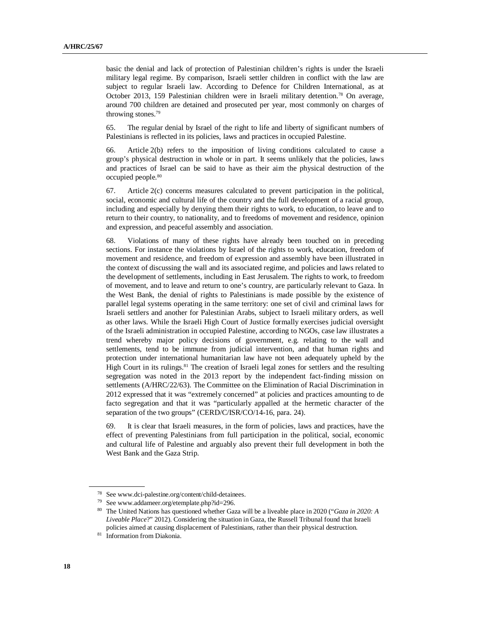basic the denial and lack of protection of Palestinian children's rights is under the Israeli military legal regime. By comparison, Israeli settler children in conflict with the law are subject to regular Israeli law. According to Defence for Children International, as at October 2013, 159 Palestinian children were in Israeli military detention. <sup>78</sup> On average, around 700 children are detained and prosecuted per year, most commonly on charges of throwing stones. 79

65. The regular denial by Israel of the right to life and liberty of significant numbers of Palestinians is reflected in its policies, laws and practices in occupied Palestine.

Article 2(b) refers to the imposition of living conditions calculated to cause a group's physical destruction in whole or in part. It seems unlikely that the policies, laws and practices of Israel can be said to have as their aim the physical destruction of the occupied people. 80

67. Article 2(c) concerns measures calculated to prevent participation in the political, social, economic and cultural life of the country and the full development of a racial group, including and especially by denying them their rights to work, to education, to leave and to return to their country, to nationality, and to freedoms of movement and residence, opinion and expression, and peaceful assembly and association.

68. Violations of many of these rights have already been touched on in preceding sections. For instance the violations by Israel of the rights to work, education, freedom of movement and residence, and freedom of expression and assembly have been illustrated in the context of discussing the wall and its associated regime, and policies and laws related to the development of settlements, including in East Jerusalem. The rights to work, to freedom of movement, and to leave and return to one's country, are particularly relevant to Gaza. In the West Bank, the denial of rights to Palestinians is made possible by the existence of parallel legal systems operating in the same territory: one set of civil and criminal laws for Israeli settlers and another for Palestinian Arabs, subject to Israeli military orders, as well as other laws. While the Israeli High Court of Justice formally exercises judicial oversight of the Israeli administration in occupied Palestine, according to NGOs, case law illustrates a trend whereby major policy decisions of government, e.g. relating to the wall and settlements, tend to be immune from judicial intervention, and that human rights and protection under international humanitarian law have not been adequately upheld by the High Court in its rulings. <sup>81</sup> The creation of Israeli legal zones for settlers and the resulting segregation was noted in the 2013 report by the independent fact-finding mission on settlements (A/HRC/22/63). The Committee on the Elimination of Racial Discrimination in 2012 expressed that it was "extremely concerned" at policies and practices amounting to de facto segregation and that it was "particularly appalled at the hermetic character of the separation of the two groups" (CERD/C/ISR/CO/14-16, para. 24).

69. It is clear that Israeli measures, in the form of policies, laws and practices, have the effect of preventing Palestinians from full participation in the political, social, economic and cultural life of Palestine and arguably also prevent their full development in both the West Bank and the Gaza Strip.

<sup>78</sup> See www.dci-palestine.org/content/child-detainees.

<sup>79</sup> See www.addameer.org/etemplate.php?id=296.

<sup>80</sup> The United Nations has questioned whether Gaza will be a liveable place in 2020 ("*Gaza in 2020: A Liveable Place*?" 2012). Considering the situation in Gaza, the Russell Tribunal found that Israeli policies aimed at causing displacement of Palestinians, rather than their physical destruction.

<sup>81</sup> Information from Diakonia.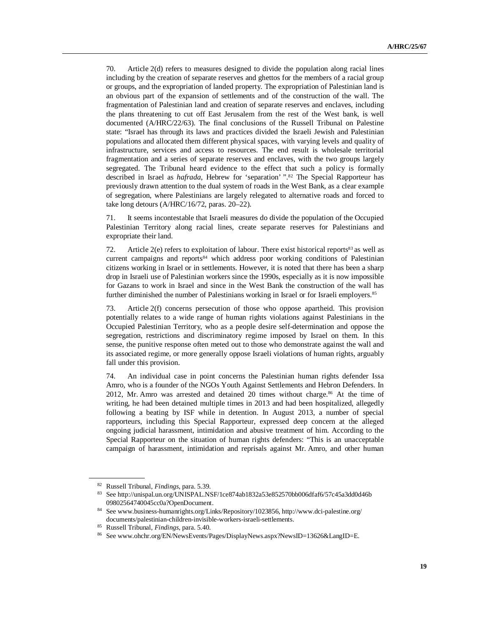70. Article 2(d) refers to measures designed to divide the population along racial lines including by the creation of separate reserves and ghettos for the members of a racial group or groups, and the expropriation of landed property. The expropriation of Palestinian land is an obvious part of the expansion of settlements and of the construction of the wall. The fragmentation of Palestinian land and creation of separate reserves and enclaves, including the plans threatening to cut off East Jerusalem from the rest of the West bank, is well documented (A/HRC/22/63). The final conclusions of the Russell Tribunal on Palestine state: "Israel has through its laws and practices divided the Israeli Jewish and Palestinian populations and allocated them different physical spaces, with varying levels and quality of infrastructure, services and access to resources. The end result is wholesale territorial fragmentation and a series of separate reserves and enclaves, with the two groups largely segregated. The Tribunal heard evidence to the effect that such a policy is formally described in Israel as *hafrada*, Hebrew for 'separation' ". <sup>82</sup> The Special Rapporteur has previously drawn attention to the dual system of roads in the West Bank, as a clear example of segregation, where Palestinians are largely relegated to alternative roads and forced to take long detours (A/HRC/16/72, paras. 20–22).

71. It seems incontestable that Israeli measures do divide the population of the Occupied Palestinian Territory along racial lines, create separate reserves for Palestinians and expropriate their land.

72. Article  $2(e)$  refers to exploitation of labour. There exist historical reports<sup>83</sup> as well as current campaigns and reports<sup>84</sup> which address poor working conditions of Palestinian citizens working in Israel or in settlements. However, it is noted that there has been a sharp drop in Israeli use of Palestinian workers since the 1990s, especially as it is now impossible for Gazans to work in Israel and since in the West Bank the construction of the wall has further diminished the number of Palestinians working in Israel or for Israeli employers.<sup>85</sup>

73. Article 2(f) concerns persecution of those who oppose apartheid. This provision potentially relates to a wide range of human rights violations against Palestinians in the Occupied Palestinian Territory, who as a people desire self-determination and oppose the segregation, restrictions and discriminatory regime imposed by Israel on them. In this sense, the punitive response often meted out to those who demonstrate against the wall and its associated regime, or more generally oppose Israeli violations of human rights, arguably fall under this provision.

74. An individual case in point concerns the Palestinian human rights defender Issa Amro, who is a founder of the NGOs Youth Against Settlements and Hebron Defenders. In 2012, Mr. Amro was arrested and detained 20 times without charge. <sup>86</sup> At the time of writing, he had been detained multiple times in 2013 and had been hospitalized, allegedly following a beating by ISF while in detention. In August 2013, a number of special rapporteurs, including this Special Rapporteur, expressed deep concern at the alleged ongoing judicial harassment, intimidation and abusive treatment of him. According to the Special Rapporteur on the situation of human rights defenders: "This is an unacceptable campaign of harassment, intimidation and reprisals against Mr. Amro, and other human

<sup>82</sup> Russell Tribunal, *Findings*, para. 5.39.

<sup>83</sup> See http://unispal.un.org/UNISPAL.NSF/1ce874ab1832a53e852570bb006dfaf6/57c45a3dd0d46b 09802564740045cc0a?OpenDocument.

<sup>84</sup> See www.business-humanrights.org/Links/Repository/1023856, http://www.dci-palestine.org/ documents/palestinian-children-invisible-workers-israeli-settlements.

<sup>85</sup> Russell Tribunal, *Findings*, para. 5.40.

<sup>86</sup> See www.ohchr.org/EN/NewsEvents/Pages/DisplayNews.aspx?NewsID=13626&LangID=E.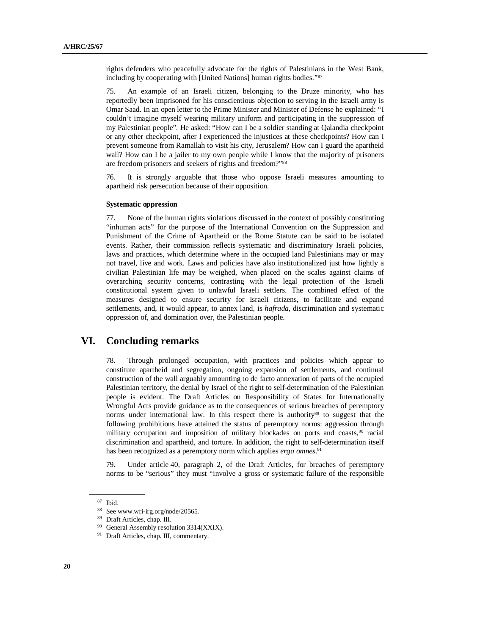rights defenders who peacefully advocate for the rights of Palestinians in the West Bank, including by cooperating with [United Nations] human rights bodies." 87

75. An example of an Israeli citizen, belonging to the Druze minority, who has reportedly been imprisoned for his conscientious objection to serving in the Israeli army is Omar Saad. In an open letter to the Prime Minister and Minister of Defense he explained: "I couldn't imagine myself wearing military uniform and participating in the suppression of my Palestinian people". He asked: "How can I be a soldier standing at Qalandia checkpoint or any other checkpoint, after I experienced the injustices at these checkpoints? How can I prevent someone from Ramallah to visit his city, Jerusalem? How can I guard the apartheid wall? How can I be a jailer to my own people while I know that the majority of prisoners are freedom prisoners and seekers of rights and freedom?"<sup>88</sup>

76. It is strongly arguable that those who oppose Israeli measures amounting to apartheid risk persecution because of their opposition.

#### **Systematic oppression**

77. None of the human rights violations discussed in the context of possibly constituting "inhuman acts" for the purpose of the International Convention on the Suppression and Punishment of the Crime of Apartheid or the Rome Statute can be said to be isolated events. Rather, their commission reflects systematic and discriminatory Israeli policies, laws and practices, which determine where in the occupied land Palestinians may or may not travel, live and work. Laws and policies have also institutionalized just how lightly a civilian Palestinian life may be weighed, when placed on the scales against claims of overarching security concerns, contrasting with the legal protection of the Israeli constitutional system given to unlawful Israeli settlers. The combined effect of the measures designed to ensure security for Israeli citizens, to facilitate and expand settlements, and, it would appear, to annex land, is *hafrada*, discrimination and systematic oppression of, and domination over, the Palestinian people.

### **VI. Concluding remarks**

78. Through prolonged occupation, with practices and policies which appear to constitute apartheid and segregation, ongoing expansion of settlements, and continual construction of the wall arguably amounting to de facto annexation of parts of the occupied Palestinian territory, the denial by Israel of the right to self-determination of the Palestinian people is evident. The Draft Articles on Responsibility of States for Internationally Wrongful Acts provide guidance as to the consequences of serious breaches of peremptory norms under international law. In this respect there is authority<sup>89</sup> to suggest that the following prohibitions have attained the status of peremptory norms: aggression through military occupation and imposition of military blockades on ports and coasts, <sup>90</sup> racial discrimination and apartheid, and torture. In addition, the right to self-determination itself has been recognized as a peremptory norm which applies *erga omnes*. 91

79. Under article 40, paragraph 2, of the Draft Articles, for breaches of peremptory norms to be "serious" they must "involve a gross or systematic failure of the responsible

<sup>87</sup> Ibid.

<sup>88</sup> See www.wri-irg.org/node/20565.

<sup>89</sup> Draft Articles, chap. III.

<sup>&</sup>lt;sup>90</sup> General Assembly resolution 3314(XXIX).

<sup>&</sup>lt;sup>91</sup> Draft Articles, chap. III, commentary.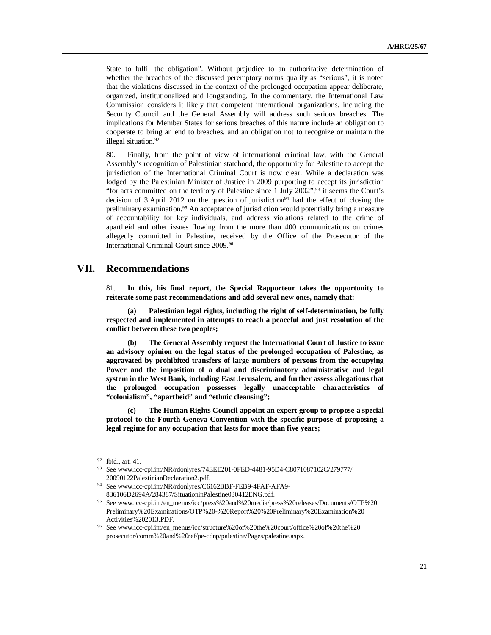State to fulfil the obligation". Without prejudice to an authoritative determination of whether the breaches of the discussed peremptory norms qualify as "serious", it is noted that the violations discussed in the context of the prolonged occupation appear deliberate, organized, institutionalized and longstanding. In the commentary, the International Law Commission considers it likely that competent international organizations, including the Security Council and the General Assembly will address such serious breaches. The implications for Member States for serious breaches of this nature include an obligation to cooperate to bring an end to breaches, and an obligation not to recognize or maintain the illegal situation. 92

80. Finally, from the point of view of international criminal law, with the General Assembly's recognition of Palestinian statehood, the opportunity for Palestine to accept the jurisdiction of the International Criminal Court is now clear. While a declaration was lodged by the Palestinian Minister of Justice in 2009 purporting to accept its jurisdiction "for acts committed on the territory of Palestine since 1 July 2002", <sup>93</sup> it seems the Court's decision of  $3$  April 2012 on the question of jurisdiction<sup>94</sup> had the effect of closing the preliminary examination. <sup>95</sup> An acceptance of jurisdiction would potentially bring a measure of accountability for key individuals, and address violations related to the crime of apartheid and other issues flowing from the more than 400 communications on crimes allegedly committed in Palestine, received by the Office of the Prosecutor of the International Criminal Court since 2009. 96

### **VII. Recommendations**

81. **In this, his final report, the Special Rapporteur takes the opportunity to reiterate some past recommendations and add several new ones, namely that:** 

**(a) Palestinian legal rights, including the right of self-determination, be fully respected and implemented in attempts to reach a peaceful and just resolution of the conflict between these two peoples;**

**(b) The General Assembly request the International Court of Justice to issue an advisory opinion on the legal status of the prolonged occupation of Palestine, as aggravated by prohibited transfers of large numbers of persons from the occupying Power and the imposition of a dual and discriminatory administrative and legal system in the West Bank, including East Jerusalem, and further assess allegations that the prolonged occupation possesses legally unacceptable characteristics of "colonialism", "apartheid" and "ethnic cleansing";**

**(c) The Human Rights Council appoint an expert group to propose a special protocol to the Fourth Geneva Convention with the specific purpose of proposing a legal regime for any occupation that lasts for more than five years;**

<sup>92</sup> Ibid., art. 41.

<sup>93</sup> See www.icc-cpi.int/NR/rdonlyres/74EEE201-0FED-4481-95D4-C8071087102C/279777/ 20090122PalestinianDeclaration2.pdf.

<sup>94</sup> See www.icc-cpi.int/NR/rdonlyres/C6162BBF-FEB9-4FAF-AFA9- 836106D2694A/284387/SituationinPalestine030412ENG.pdf.

<sup>95</sup> See www.icc-cpi.int/en\_menus/icc/press%20and%20media/press%20releases/Documents/OTP%20 Preliminary%20Examinations/OTP%20-%20Report%20%20Preliminary%20Examination%20 Activities%202013.PDF.

<sup>96</sup> See www.icc-cpi.int/en\_menus/icc/structure%20of%20the%20court/office%20of%20the%20 prosecutor/comm%20and%20ref/pe-cdnp/palestine/Pages/palestine.aspx.